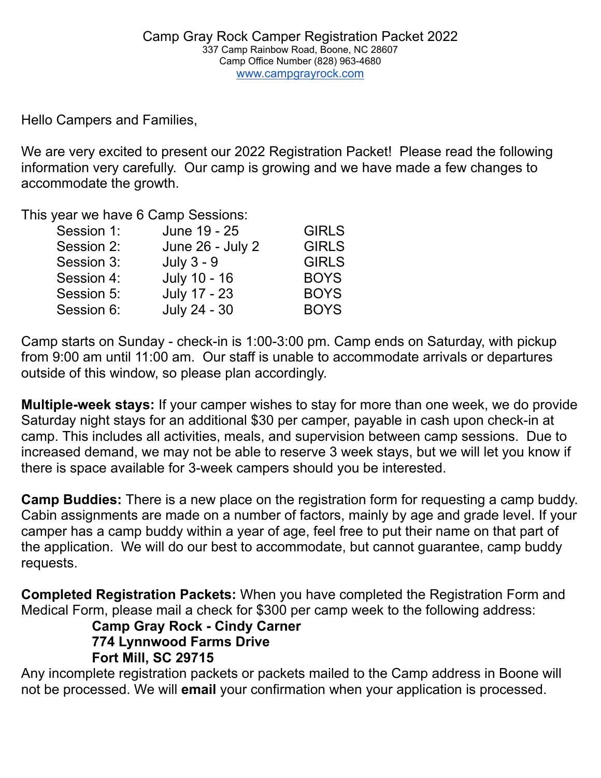Hello Campers and Families,

We are very excited to present our 2022 Registration Packet! Please read the following information very carefully. Our camp is growing and we have made a few changes to accommodate the growth.

This year we have 6 Camp Sessions:

| Session 1: | June 19 - 25     | <b>GIRLS</b> |
|------------|------------------|--------------|
| Session 2: | June 26 - July 2 | <b>GIRLS</b> |
| Session 3: | July $3 - 9$     | <b>GIRLS</b> |
| Session 4: | July 10 - 16     | <b>BOYS</b>  |
| Session 5: | July 17 - 23     | <b>BOYS</b>  |
| Session 6: | July 24 - 30     | <b>BOYS</b>  |
|            |                  |              |

Camp starts on Sunday - check-in is 1:00-3:00 pm. Camp ends on Saturday, with pickup from 9:00 am until 11:00 am. Our staff is unable to accommodate arrivals or departures outside of this window, so please plan accordingly.

**Multiple-week stays:** If your camper wishes to stay for more than one week, we do provide Saturday night stays for an additional \$30 per camper, payable in cash upon check-in at camp. This includes all activities, meals, and supervision between camp sessions. Due to increased demand, we may not be able to reserve 3 week stays, but we will let you know if there is space available for 3-week campers should you be interested.

**Camp Buddies:** There is a new place on the registration form for requesting a camp buddy. Cabin assignments are made on a number of factors, mainly by age and grade level. If your camper has a camp buddy within a year of age, feel free to put their name on that part of the application. We will do our best to accommodate, but cannot guarantee, camp buddy requests.

**Completed Registration Packets:** When you have completed the Registration Form and Medical Form, please mail a check for \$300 per camp week to the following address:

**Camp Gray Rock - Cindy Carner 774 Lynnwood Farms Drive Fort Mill, SC 29715**

Any incomplete registration packets or packets mailed to the Camp address in Boone will not be processed. We will **email** your confirmation when your application is processed.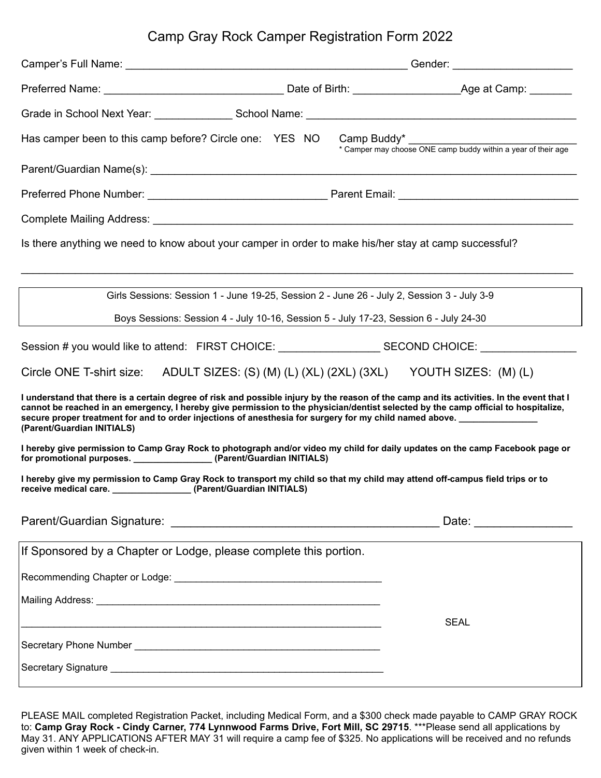## Camp Gray Rock Camper Registration Form 2022

| Has camper been to this camp before? Circle one: YES NO Camp Buddy* ________________________________                                                                                                                                                                                                                                                                                                                     |  | * Camper may choose ONE camp buddy within a year of their age |  |  |
|--------------------------------------------------------------------------------------------------------------------------------------------------------------------------------------------------------------------------------------------------------------------------------------------------------------------------------------------------------------------------------------------------------------------------|--|---------------------------------------------------------------|--|--|
|                                                                                                                                                                                                                                                                                                                                                                                                                          |  |                                                               |  |  |
|                                                                                                                                                                                                                                                                                                                                                                                                                          |  |                                                               |  |  |
|                                                                                                                                                                                                                                                                                                                                                                                                                          |  |                                                               |  |  |
| Is there anything we need to know about your camper in order to make his/her stay at camp successful?                                                                                                                                                                                                                                                                                                                    |  |                                                               |  |  |
| Girls Sessions: Session 1 - June 19-25, Session 2 - June 26 - July 2, Session 3 - July 3-9                                                                                                                                                                                                                                                                                                                               |  |                                                               |  |  |
| Boys Sessions: Session 4 - July 10-16, Session 5 - July 17-23, Session 6 - July 24-30                                                                                                                                                                                                                                                                                                                                    |  |                                                               |  |  |
| Session # you would like to attend: FIRST CHOICE: ______________________________SECOND CHOICE: _______________                                                                                                                                                                                                                                                                                                           |  |                                                               |  |  |
| Circle ONE T-shirt size: ADULT SIZES: (S) (M) (L) (XL) (2XL) (3XL) YOUTH SIZES: (M) (L)                                                                                                                                                                                                                                                                                                                                  |  |                                                               |  |  |
| I understand that there is a certain degree of risk and possible injury by the reason of the camp and its activities. In the event that I<br>cannot be reached in an emergency, I hereby give permission to the physician/dentist selected by the camp official to hospitalize,<br>secure proper treatment for and to order injections of anesthesia for surgery for my child named above.<br>(Parent/Guardian INITIALS) |  |                                                               |  |  |
| I hereby give permission to Camp Gray Rock to photograph and/or video my child for daily updates on the camp Facebook page or<br>for promotional purposes. ______________________(Parent/Guardian INITIALS)                                                                                                                                                                                                              |  |                                                               |  |  |
| I hereby give my permission to Camp Gray Rock to transport my child so that my child may attend off-campus field trips or to<br>receive medical care. _________________(Parent/Guardian INITIALS)                                                                                                                                                                                                                        |  |                                                               |  |  |
|                                                                                                                                                                                                                                                                                                                                                                                                                          |  | Date: __________________                                      |  |  |
| If Sponsored by a Chapter or Lodge, please complete this portion.                                                                                                                                                                                                                                                                                                                                                        |  |                                                               |  |  |
|                                                                                                                                                                                                                                                                                                                                                                                                                          |  |                                                               |  |  |
|                                                                                                                                                                                                                                                                                                                                                                                                                          |  |                                                               |  |  |
|                                                                                                                                                                                                                                                                                                                                                                                                                          |  | <b>SEAL</b>                                                   |  |  |
|                                                                                                                                                                                                                                                                                                                                                                                                                          |  |                                                               |  |  |
|                                                                                                                                                                                                                                                                                                                                                                                                                          |  |                                                               |  |  |

PLEASE MAIL completed Registration Packet, including Medical Form, and a \$300 check made payable to CAMP GRAY ROCK to: **Camp Gray Rock - Cindy Carner, 774 Lynnwood Farms Drive, Fort Mill, SC 29715**. \*\*\*Please send all applications by May 31. ANY APPLICATIONS AFTER MAY 31 will require a camp fee of \$325. No applications will be received and no refunds given within 1 week of check-in.